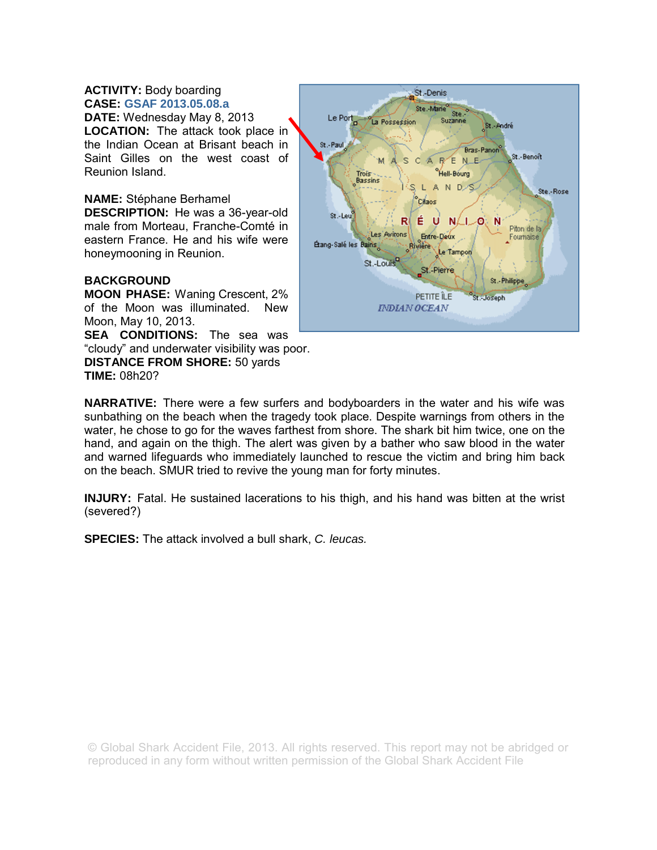# **ACTIVITY:** Body boarding **CASE: GSAF 2013.05.08.a**

**DATE:** Wednesday May 8, 2013 **LOCATION:** The attack took place in the Indian Ocean at Brisant beach in Saint Gilles on the west coast of Reunion Island.

**NAME:** Stéphane Berhamel **DESCRIPTION:** He was a 36-year-old male from Morteau, Franche-Comté in eastern France. He and his wife were honeymooning in Reunion.

# **BACKGROUND**

**MOON PHASE:** Waning Crescent, 2% of the Moon was illuminated. New Moon, May 10, 2013.

**SEA CONDITIONS:** The sea was "cloudy" and underwater visibility was poor. **DISTANCE FROM SHORE:** 50 yards **TIME:** 08h20?



**NARRATIVE:** There were a few surfers and bodyboarders in the water and his wife was sunbathing on the beach when the tragedy took place. Despite warnings from others in the water, he chose to go for the waves farthest from shore. The shark bit him twice, one on the hand, and again on the thigh. The alert was given by a bather who saw blood in the water and warned lifeguards who immediately launched to rescue the victim and bring him back on the beach. SMUR tried to revive the young man for forty minutes.

**INJURY:** Fatal. He sustained lacerations to his thigh, and his hand was bitten at the wrist (severed?)

**SPECIES:** The attack involved a bull shark, *C. leucas.*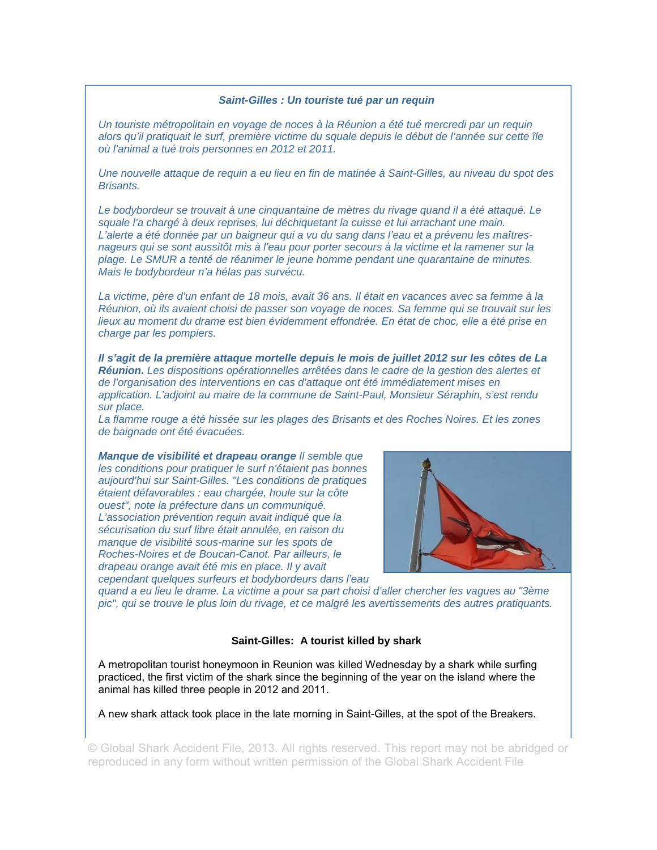### *Saint-Gilles : Un touriste tué par un requin*

*Un touriste métropolitain en voyage de noces à la Réunion a été tué mercredi par un requin alors qu'il pratiquait le surf, première victime du squale depuis le début de l'année sur cette île où l'animal a tué trois personnes en 2012 et 2011.* 

*Une nouvelle attaque de requin a eu lieu en fin de matinée à Saint-Gilles, au niveau du spot des Brisants.* 

*Le bodybordeur se trouvait à une cinquantaine de mètres du rivage quand il a été attaqué. Le squale l'a chargé à deux reprises, lui déchiquetant la cuisse et lui arrachant une main. L'alerte a été donnée par un baigneur qui a vu du sang dans l'eau et a prévenu les maîtresnageurs qui se sont aussitôt mis à l'eau pour porter secours à la victime et la ramener sur la plage. Le SMUR a tenté de réanimer le jeune homme pendant une quarantaine de minutes. Mais le bodybordeur n'a hélas pas survécu.* 

*La victime, père d'un enfant de 18 mois, avait 36 ans. Il était en vacances avec sa femme à la Réunion, où ils avaient choisi de passer son voyage de noces. Sa femme qui se trouvait sur les lieux au moment du drame est bien évidemment effondrée. En état de choc, elle a été prise en charge par les pompiers.* 

*Il s'agit de la première attaque mortelle depuis le mois de juillet 2012 sur les côtes de La Réunion. Les dispositions opérationnelles arrêtées dans le cadre de la gestion des alertes et de l'organisation des interventions en cas d'attaque ont été immédiatement mises en application. L'adjoint au maire de la commune de Saint-Paul, Monsieur Séraphin, s'est rendu sur place.* 

La flamme rouge a été hissée sur les plages des Brisants et des Roches Noires. Et les zones *de baignade ont été évacuées.* 

*Manque de visibilité et drapeau orange Il semble que les conditions pour pratiquer le surf n'étaient pas bonnes aujourd'hui sur Saint-Gilles. "Les conditions de pratiques étaient défavorables : eau chargée, houle sur la côte ouest", note la préfecture dans un communiqué. L'association prévention requin avait indiqué que la sécurisation du surf libre était annulée, en raison du manque de visibilité sous-marine sur les spots de Roches-Noires et de Boucan-Canot. Par ailleurs, le drapeau orange avait été mis en place. Il y avait cependant quelques surfeurs et bodybordeurs dans l'eau* 



*quand a eu lieu le drame. La victime a pour sa part choisi d'aller chercher les vagues au "3ème pic", qui se trouve le plus loin du rivage, et ce malgré les avertissements des autres pratiquants.* 

## **Saint-Gilles: A tourist killed by shark**

A metropolitan tourist honeymoon in Reunion was killed Wednesday by a shark while surfing practiced, the first victim of the shark since the beginning of the year on the island where the animal has killed three people in 2012 and 2011.

A new shark attack took place in the late morning in Saint-Gilles, at the spot of the Breakers.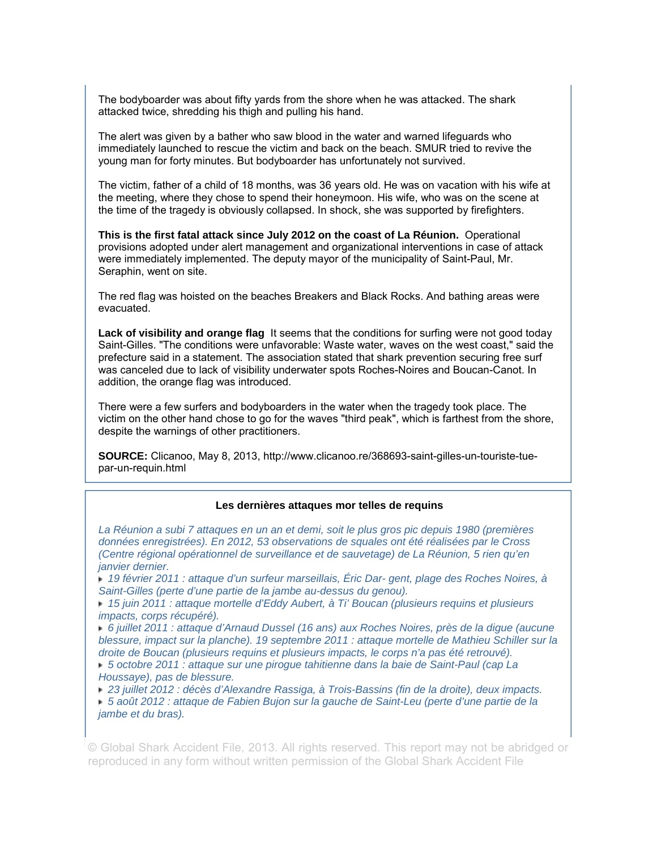The bodyboarder was about fifty yards from the shore when he was attacked. The shark attacked twice, shredding his thigh and pulling his hand.

The alert was given by a bather who saw blood in the water and warned lifeguards who immediately launched to rescue the victim and back on the beach. SMUR tried to revive the young man for forty minutes. But bodyboarder has unfortunately not survived.

The victim, father of a child of 18 months, was 36 years old. He was on vacation with his wife at the meeting, where they chose to spend their honeymoon. His wife, who was on the scene at the time of the tragedy is obviously collapsed. In shock, she was supported by firefighters.

**This is the first fatal attack since July 2012 on the coast of La Réunion.** Operational provisions adopted under alert management and organizational interventions in case of attack were immediately implemented. The deputy mayor of the municipality of Saint-Paul, Mr. Seraphin, went on site.

The red flag was hoisted on the beaches Breakers and Black Rocks. And bathing areas were evacuated.

**Lack of visibility and orange flag** It seems that the conditions for surfing were not good today Saint-Gilles. "The conditions were unfavorable: Waste water, waves on the west coast," said the prefecture said in a statement. The association stated that shark prevention securing free surf was canceled due to lack of visibility underwater spots Roches-Noires and Boucan-Canot. In addition, the orange flag was introduced.

There were a few surfers and bodyboarders in the water when the tragedy took place. The victim on the other hand chose to go for the waves "third peak", which is farthest from the shore, despite the warnings of other practitioners.

**SOURCE:** Clicanoo, May 8, 2013, http://www.clicanoo.re/368693-saint-gilles-un-touriste-tuepar-un-requin.html

### **Les dernières attaques mor telles de requins**

*La Réunion a subi 7 attaques en un an et demi, soit le plus gros pic depuis 1980 (premières données enregistrées). En 2012, 53 observations de squales ont été réalisées par le Cross (Centre régional opérationnel de surveillance et de sauvetage) de La Réunion, 5 rien qu'en janvier dernier.* 

 *19 février 2011 : attaque d'un surfeur marseillais, Éric Dar- gent, plage des Roches Noires, à Saint-Gilles (perte d'une partie de la jambe au-dessus du genou).* 

 *15 juin 2011 : attaque mortelle d'Eddy Aubert, à Ti' Boucan (plusieurs requins et plusieurs impacts, corps récupéré).* 

 *6 juillet 2011 : attaque d'Arnaud Dussel (16 ans) aux Roches Noires, près de la digue (aucune blessure, impact sur la planche). 19 septembre 2011 : attaque mortelle de Mathieu Schiller sur la droite de Boucan (plusieurs requins et plusieurs impacts, le corps n'a pas été retrouvé).* 

 *5 octobre 2011 : attaque sur une pirogue tahitienne dans la baie de Saint-Paul (cap La Houssaye), pas de blessure.* 

 *23 juillet 2012 : décès d'Alexandre Rassiga, à Trois-Bassins (fin de la droite), deux impacts.* 

 *5 août 2012 : attaque de Fabien Bujon sur la gauche de Saint-Leu (perte d'une partie de la jambe et du bras).*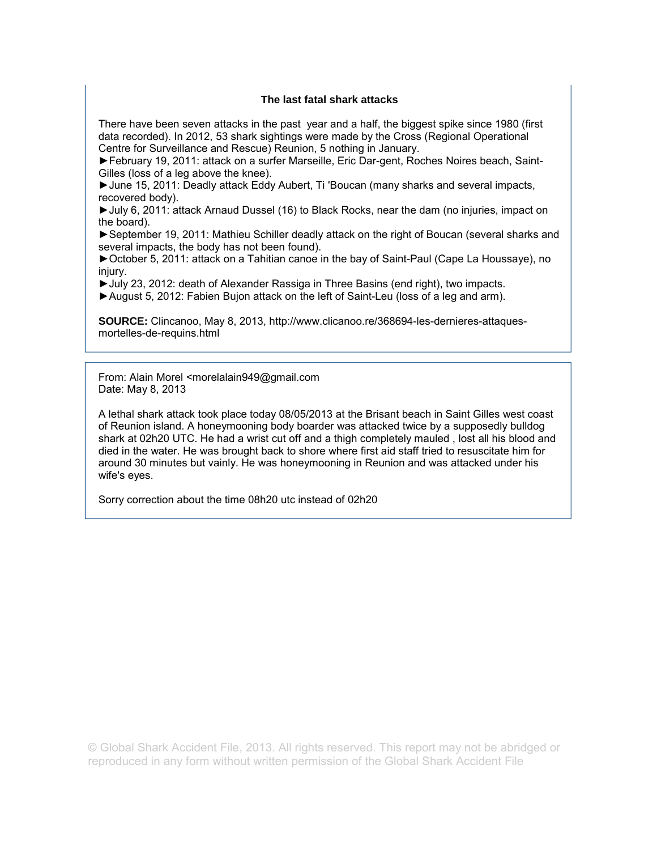## **The last fatal shark attacks**

There have been seven attacks in the past year and a half, the biggest spike since 1980 (first data recorded). In 2012, 53 shark sightings were made by the Cross (Regional Operational Centre for Surveillance and Rescue) Reunion, 5 nothing in January.

►February 19, 2011: attack on a surfer Marseille, Eric Dar-gent, Roches Noires beach, Saint-Gilles (loss of a leg above the knee).

►June 15, 2011: Deadly attack Eddy Aubert, Ti 'Boucan (many sharks and several impacts, recovered body).

►July 6, 2011: attack Arnaud Dussel (16) to Black Rocks, near the dam (no injuries, impact on the board).

►September 19, 2011: Mathieu Schiller deadly attack on the right of Boucan (several sharks and several impacts, the body has not been found).

►October 5, 2011: attack on a Tahitian canoe in the bay of Saint-Paul (Cape La Houssaye), no injury.

►July 23, 2012: death of Alexander Rassiga in Three Basins (end right), two impacts.

►August 5, 2012: Fabien Bujon attack on the left of Saint-Leu (loss of a leg and arm).

**SOURCE:** Clincanoo, May 8, 2013, http://www.clicanoo.re/368694-les-dernieres-attaquesmortelles-de-requins.html

From: Alain Morel <morelalain949@gmail.com Date: May 8, 2013

A lethal shark attack took place today 08/05/2013 at the Brisant beach in Saint Gilles west coast of Reunion island. A honeymooning body boarder was attacked twice by a supposedly bulldog shark at 02h20 UTC. He had a wrist cut off and a thigh completely mauled , lost all his blood and died in the water. He was brought back to shore where first aid staff tried to resuscitate him for around 30 minutes but vainly. He was honeymooning in Reunion and was attacked under his wife's eyes.

Sorry correction about the time 08h20 utc instead of 02h20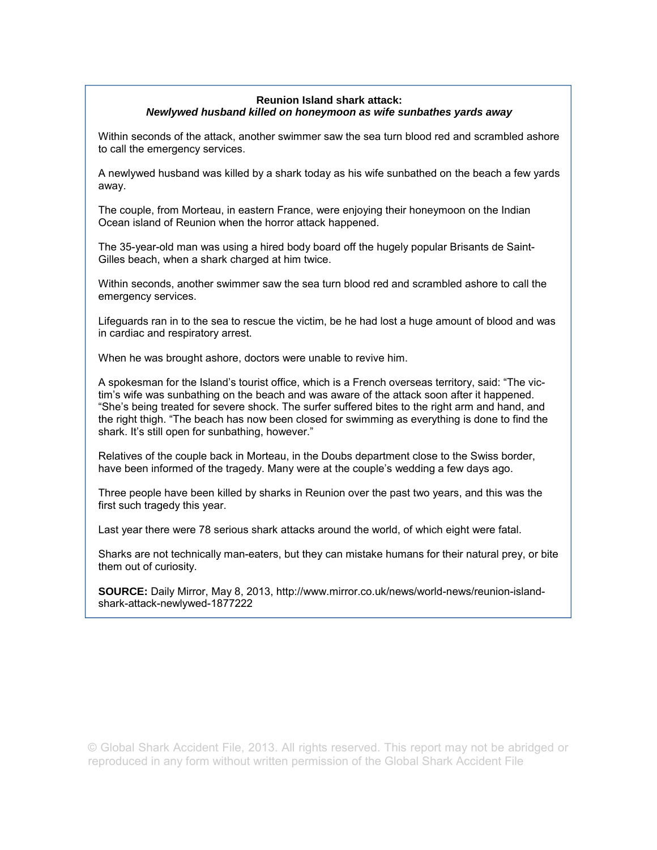## **Reunion Island shark attack:**  *Newlywed husband killed on honeymoon as wife sunbathes yards away*

Within seconds of the attack, another swimmer saw the sea turn blood red and scrambled ashore to call the emergency services.

A newlywed husband was killed by a shark today as his wife sunbathed on the beach a few yards away.

The couple, from Morteau, in eastern France, were enjoying their honeymoon on the Indian Ocean island of Reunion when the horror attack happened.

The 35-year-old man was using a hired body board off the hugely popular Brisants de Saint-Gilles beach, when a shark charged at him twice.

Within seconds, another swimmer saw the sea turn blood red and scrambled ashore to call the emergency services.

Lifeguards ran in to the sea to rescue the victim, be he had lost a huge amount of blood and was in cardiac and respiratory arrest.

When he was brought ashore, doctors were unable to revive him.

A spokesman for the Island's tourist office, which is a French overseas territory, said: "The victim's wife was sunbathing on the beach and was aware of the attack soon after it happened. "She's being treated for severe shock. The surfer suffered bites to the right arm and hand, and the right thigh. "The beach has now been closed for swimming as everything is done to find the shark. It's still open for sunbathing, however."

Relatives of the couple back in Morteau, in the Doubs department close to the Swiss border, have been informed of the tragedy. Many were at the couple's wedding a few days ago.

Three people have been killed by sharks in Reunion over the past two years, and this was the first such tragedy this year.

Last year there were 78 serious shark attacks around the world, of which eight were fatal.

Sharks are not technically man-eaters, but they can mistake humans for their natural prey, or bite them out of curiosity.

**SOURCE:** Daily Mirror, May 8, 2013, http://www.mirror.co.uk/news/world-news/reunion-islandshark-attack-newlywed-1877222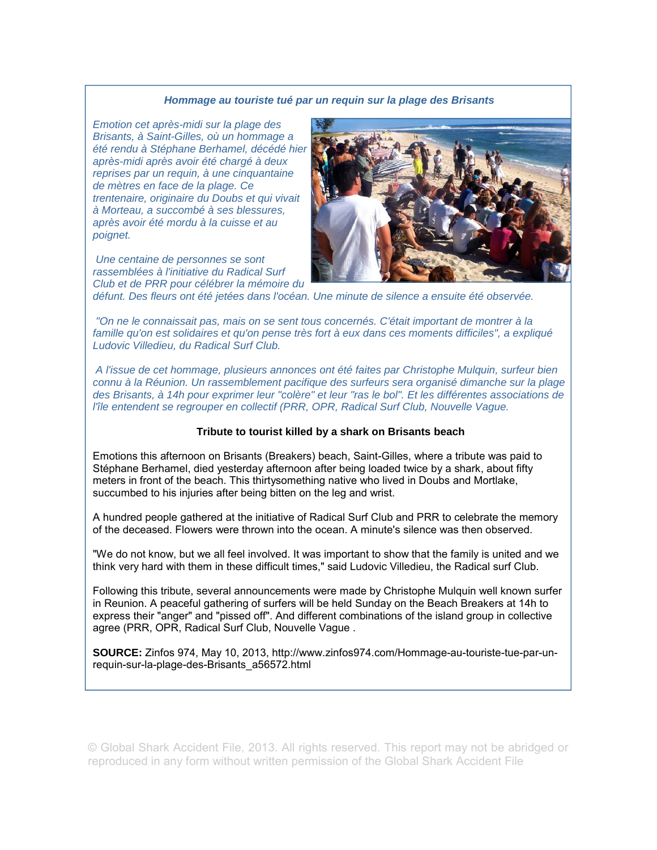#### *Hommage au touriste tué par un requin sur la plage des Brisants*

*Emotion cet après-midi sur la plage des Brisants, à Saint-Gilles, où un hommage a été rendu à Stéphane Berhamel, décédé hier après-midi après avoir été chargé à deux reprises par un requin, à une cinquantaine de mètres en face de la plage. Ce trentenaire, originaire du Doubs et qui vivait à Morteau, a succombé à ses blessures, après avoir été mordu à la cuisse et au poignet.* 

 *Une centaine de personnes se sont rassemblées à l'initiative du Radical Surf Club et de PRR pour célébrer la mémoire du* 



*défunt. Des fleurs ont été jetées dans l'océan. Une minute de silence a ensuite été observée.* 

 *"On ne le connaissait pas, mais on se sent tous concernés. C'était important de montrer à la famille qu'on est solidaires et qu'on pense très fort à eux dans ces moments difficiles", a expliqué Ludovic Villedieu, du Radical Surf Club.* 

 *A l'issue de cet hommage, plusieurs annonces ont été faites par Christophe Mulquin, surfeur bien connu à la Réunion. Un rassemblement pacifique des surfeurs sera organisé dimanche sur la plage des Brisants, à 14h pour exprimer leur "colère" et leur "ras le bol". Et les différentes associations de l'île entendent se regrouper en collectif (PRR, OPR, Radical Surf Club, Nouvelle Vague.* 

### **Tribute to tourist killed by a shark on Brisants beach**

Emotions this afternoon on Brisants (Breakers) beach, Saint-Gilles, where a tribute was paid to Stéphane Berhamel, died yesterday afternoon after being loaded twice by a shark, about fifty meters in front of the beach. This thirtysomething native who lived in Doubs and Mortlake, succumbed to his injuries after being bitten on the leg and wrist.

A hundred people gathered at the initiative of Radical Surf Club and PRR to celebrate the memory of the deceased. Flowers were thrown into the ocean. A minute's silence was then observed.

"We do not know, but we all feel involved. It was important to show that the family is united and we think very hard with them in these difficult times," said Ludovic Villedieu, the Radical surf Club.

Following this tribute, several announcements were made by Christophe Mulquin well known surfer in Reunion. A peaceful gathering of surfers will be held Sunday on the Beach Breakers at 14h to express their "anger" and "pissed off". And different combinations of the island group in collective agree (PRR, OPR, Radical Surf Club, Nouvelle Vague .

**SOURCE:** Zinfos 974, May 10, 2013, http://www.zinfos974.com/Hommage-au-touriste-tue-par-unrequin-sur-la-plage-des-Brisants\_a56572.html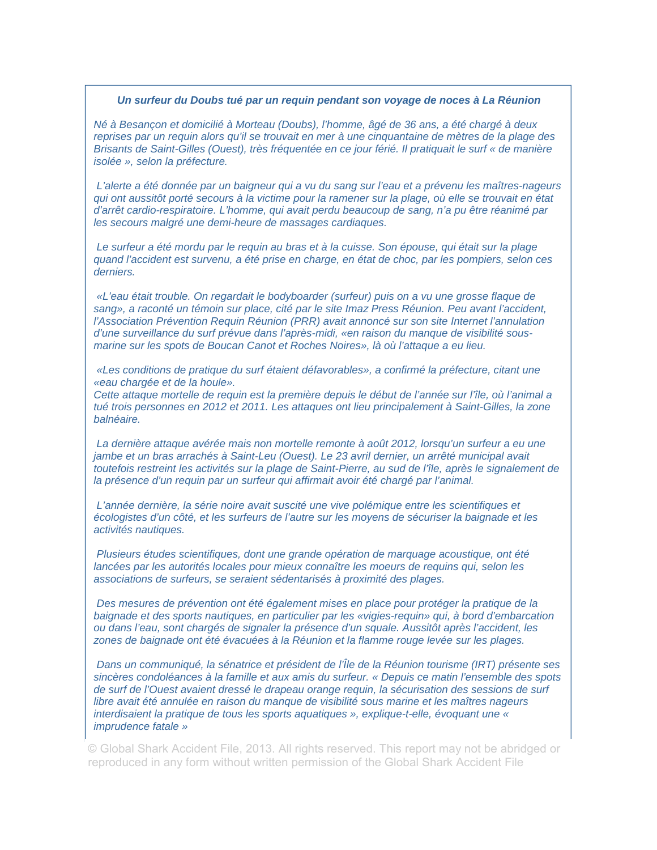### *Un surfeur du Doubs tué par un requin pendant son voyage de noces à La Réunion*

*Né à Besançon et domicilié à Morteau (Doubs), l'homme, âgé de 36 ans, a été chargé à deux reprises par un requin alors qu'il se trouvait en mer à une cinquantaine de mètres de la plage des Brisants de Saint-Gilles (Ouest), très fréquentée en ce jour férié. Il pratiquait le surf « de manière isolée », selon la préfecture.* 

 *L'alerte a été donnée par un baigneur qui a vu du sang sur l'eau et a prévenu les maîtres-nageurs qui ont aussitôt porté secours à la victime pour la ramener sur la plage, où elle se trouvait en état d'arrêt cardio-respiratoire. L'homme, qui avait perdu beaucoup de sang, n'a pu être réanimé par les secours malgré une demi-heure de massages cardiaques.* 

 *Le surfeur a été mordu par le requin au bras et à la cuisse. Son épouse, qui était sur la plage quand l'accident est survenu, a été prise en charge, en état de choc, par les pompiers, selon ces derniers.* 

 *«L'eau était trouble. On regardait le bodyboarder (surfeur) puis on a vu une grosse flaque de sang», a raconté un témoin sur place, cité par le site Imaz Press Réunion. Peu avant l'accident, l'Association Prévention Requin Réunion (PRR) avait annoncé sur son site Internet l'annulation d'une surveillance du surf prévue dans l'après-midi, «en raison du manque de visibilité sousmarine sur les spots de Boucan Canot et Roches Noires», là où l'attaque a eu lieu.* 

 *«Les conditions de pratique du surf étaient défavorables», a confirmé la préfecture, citant une «eau chargée et de la houle».* 

*Cette attaque mortelle de requin est la première depuis le début de l'année sur l'île, où l'animal a*  tué trois personnes en 2012 et 2011. Les attaques ont lieu principalement à Saint-Gilles, la zone *balnéaire.* 

 *La dernière attaque avérée mais non mortelle remonte à août 2012, lorsqu'un surfeur a eu une jambe et un bras arrachés à Saint-Leu (Ouest). Le 23 avril dernier, un arrêté municipal avait toutefois restreint les activités sur la plage de Saint-Pierre, au sud de l'île, après le signalement de la présence d'un requin par un surfeur qui affirmait avoir été chargé par l'animal.* 

 *L'année dernière, la série noire avait suscité une vive polémique entre les scientifiques et écologistes d'un côté, et les surfeurs de l'autre sur les moyens de sécuriser la baignade et les activités nautiques.* 

 *Plusieurs études scientifiques, dont une grande opération de marquage acoustique, ont été*  lancées par les autorités locales pour mieux connaître les moeurs de requins qui, selon les *associations de surfeurs, se seraient sédentarisés à proximité des plages.* 

 *Des mesures de prévention ont été également mises en place pour protéger la pratique de la baignade et des sports nautiques, en particulier par les «vigies-requin» qui, à bord d'embarcation ou dans l'eau, sont chargés de signaler la présence d'un squale. Aussitôt après l'accident, les zones de baignade ont été évacuées à la Réunion et la flamme rouge levée sur les plages.* 

 *Dans un communiqué, la sénatrice et président de l'Île de la Réunion tourisme (IRT) présente ses sincères condoléances à la famille et aux amis du surfeur. « Depuis ce matin l'ensemble des spots de surf de l'Ouest avaient dressé le drapeau orange requin, la sécurisation des sessions de surf libre avait été annulée en raison du manque de visibilité sous marine et les maîtres nageurs interdisaient la pratique de tous les sports aquatiques », explique-t-elle, évoquant une « imprudence fatale »*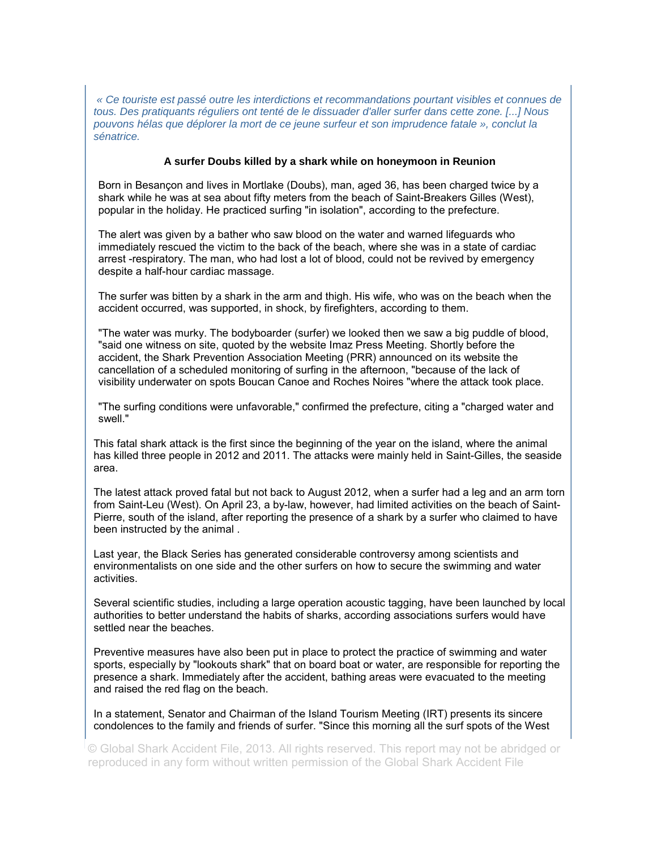*« Ce touriste est passé outre les interdictions et recommandations pourtant visibles et connues de tous. Des pratiquants réguliers ont tenté de le dissuader d'aller surfer dans cette zone. [...] Nous pouvons hélas que déplorer la mort de ce jeune surfeur et son imprudence fatale », conclut la sénatrice.* 

### **A surfer Doubs killed by a shark while on honeymoon in Reunion**

Born in Besançon and lives in Mortlake (Doubs), man, aged 36, has been charged twice by a shark while he was at sea about fifty meters from the beach of Saint-Breakers Gilles (West), popular in the holiday. He practiced surfing "in isolation", according to the prefecture.

The alert was given by a bather who saw blood on the water and warned lifeguards who immediately rescued the victim to the back of the beach, where she was in a state of cardiac arrest -respiratory. The man, who had lost a lot of blood, could not be revived by emergency despite a half-hour cardiac massage.

The surfer was bitten by a shark in the arm and thigh. His wife, who was on the beach when the accident occurred, was supported, in shock, by firefighters, according to them.

"The water was murky. The bodyboarder (surfer) we looked then we saw a big puddle of blood, "said one witness on site, quoted by the website Imaz Press Meeting. Shortly before the accident, the Shark Prevention Association Meeting (PRR) announced on its website the cancellation of a scheduled monitoring of surfing in the afternoon, "because of the lack of visibility underwater on spots Boucan Canoe and Roches Noires "where the attack took place.

"The surfing conditions were unfavorable," confirmed the prefecture, citing a "charged water and swell."

This fatal shark attack is the first since the beginning of the year on the island, where the animal has killed three people in 2012 and 2011. The attacks were mainly held in Saint-Gilles, the seaside area.

The latest attack proved fatal but not back to August 2012, when a surfer had a leg and an arm torn from Saint-Leu (West). On April 23, a by-law, however, had limited activities on the beach of Saint-Pierre, south of the island, after reporting the presence of a shark by a surfer who claimed to have been instructed by the animal .

Last year, the Black Series has generated considerable controversy among scientists and environmentalists on one side and the other surfers on how to secure the swimming and water activities.

Several scientific studies, including a large operation acoustic tagging, have been launched by local authorities to better understand the habits of sharks, according associations surfers would have settled near the beaches.

Preventive measures have also been put in place to protect the practice of swimming and water sports, especially by "lookouts shark" that on board boat or water, are responsible for reporting the presence a shark. Immediately after the accident, bathing areas were evacuated to the meeting and raised the red flag on the beach.

In a statement, Senator and Chairman of the Island Tourism Meeting (IRT) presents its sincere condolences to the family and friends of surfer. "Since this morning all the surf spots of the West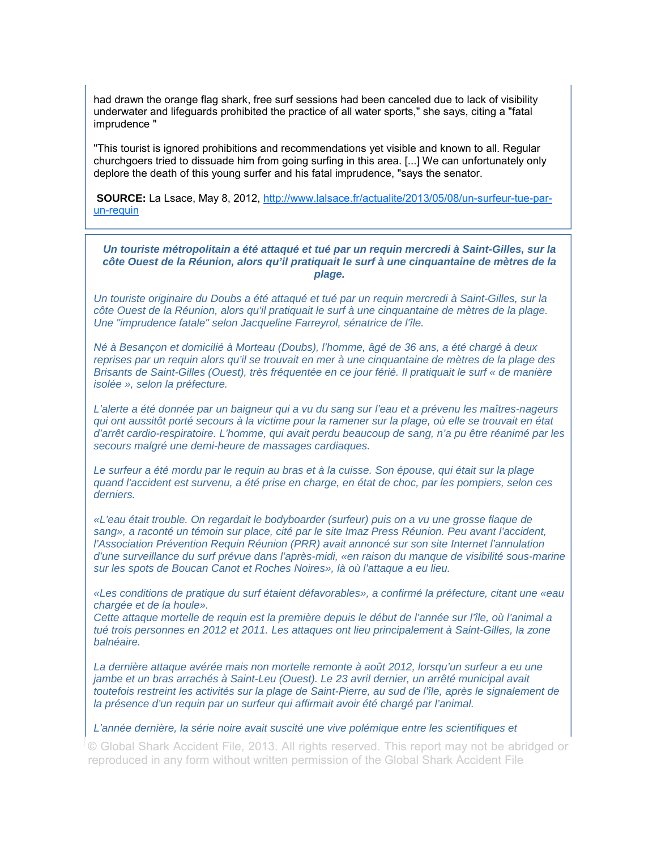had drawn the orange flag shark, free surf sessions had been canceled due to lack of visibility underwater and lifeguards prohibited the practice of all water sports," she says, citing a "fatal imprudence "

"This tourist is ignored prohibitions and recommendations yet visible and known to all. Regular churchgoers tried to dissuade him from going surfing in this area. [...] We can unfortunately only deplore the death of this young surfer and his fatal imprudence, "says the senator.

SOURCE: La Lsace, May 8, 2012, http://www.lalsace.fr/actualite/2013/05/08/un-surfeur-tue-parun-requin

*Un touriste métropolitain a été attaqué et tué par un requin mercredi à Saint-Gilles, sur la côte Ouest de la Réunion, alors qu'il pratiquait le surf à une cinquantaine de mètres de la plage.* 

*Un touriste originaire du Doubs a été attaqué et tué par un requin mercredi à Saint-Gilles, sur la côte Ouest de la Réunion, alors qu'il pratiquait le surf à une cinquantaine de mètres de la plage. Une "imprudence fatale" selon Jacqueline Farreyrol, sénatrice de l'île.* 

*Né à Besançon et domicilié à Morteau (Doubs), l'homme, âgé de 36 ans, a été chargé à deux reprises par un requin alors qu'il se trouvait en mer à une cinquantaine de mètres de la plage des Brisants de Saint-Gilles (Ouest), très fréquentée en ce jour férié. Il pratiquait le surf « de manière isolée », selon la préfecture.* 

*L'alerte a été donnée par un baigneur qui a vu du sang sur l'eau et a prévenu les maîtres-nageurs qui ont aussitôt porté secours à la victime pour la ramener sur la plage, où elle se trouvait en état d'arrêt cardio-respiratoire. L'homme, qui avait perdu beaucoup de sang, n'a pu être réanimé par les secours malgré une demi-heure de massages cardiaques.* 

*Le surfeur a été mordu par le requin au bras et à la cuisse. Son épouse, qui était sur la plage quand l'accident est survenu, a été prise en charge, en état de choc, par les pompiers, selon ces derniers.* 

*«L'eau était trouble. On regardait le bodyboarder (surfeur) puis on a vu une grosse flaque de*  sang», a raconté un témoin sur place, cité par le site Imaz Press Réunion. Peu avant l'accident, *l'Association Prévention Requin Réunion (PRR) avait annoncé sur son site Internet l'annulation d'une surveillance du surf prévue dans l'après-midi, «en raison du manque de visibilité sous-marine sur les spots de Boucan Canot et Roches Noires», là où l'attaque a eu lieu.* 

*«Les conditions de pratique du surf étaient défavorables», a confirmé la préfecture, citant une «eau chargée et de la houle».* 

*Cette attaque mortelle de requin est la première depuis le début de l'année sur l'île, où l'animal a*  tué trois personnes en 2012 et 2011. Les attaques ont lieu principalement à Saint-Gilles, la zone *balnéaire.* 

*La dernière attaque avérée mais non mortelle remonte à août 2012, lorsqu'un surfeur a eu une jambe et un bras arrachés à Saint-Leu (Ouest). Le 23 avril dernier, un arrêté municipal avait toutefois restreint les activités sur la plage de Saint-Pierre, au sud de l'île, après le signalement de la présence d'un requin par un surfeur qui affirmait avoir été chargé par l'animal.* 

*L'année dernière, la série noire avait suscité une vive polémique entre les scientifiques et*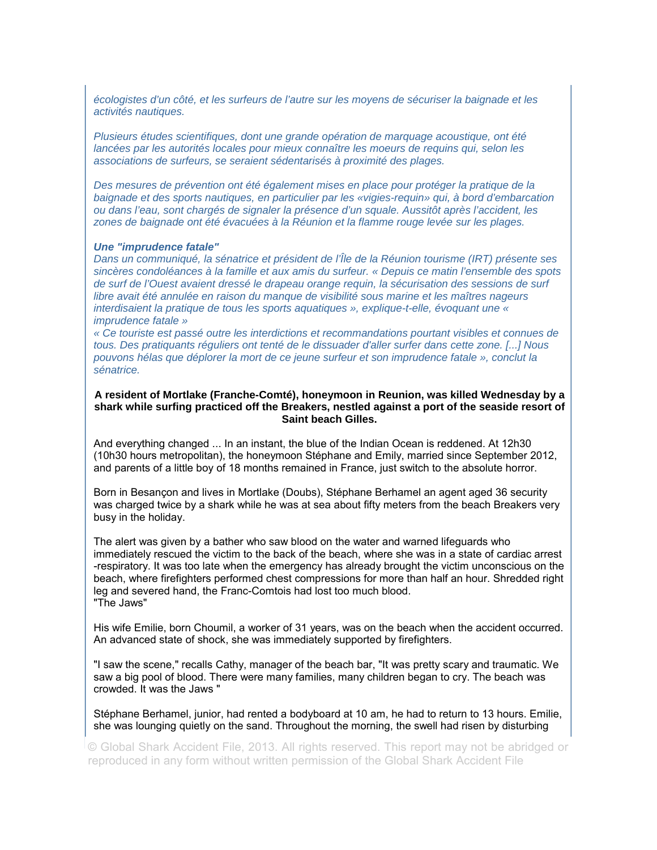*écologistes d'un côté, et les surfeurs de l'autre sur les moyens de sécuriser la baignade et les activités nautiques.* 

*Plusieurs études scientifiques, dont une grande opération de marquage acoustique, ont été lancées par les autorités locales pour mieux connaître les moeurs de requins qui, selon les associations de surfeurs, se seraient sédentarisés à proximité des plages.* 

*Des mesures de prévention ont été également mises en place pour protéger la pratique de la baignade et des sports nautiques, en particulier par les «vigies-requin» qui, à bord d'embarcation ou dans l'eau, sont chargés de signaler la présence d'un squale. Aussitôt après l'accident, les zones de baignade ont été évacuées à la Réunion et la flamme rouge levée sur les plages.* 

#### *Une "imprudence fatale"*

*Dans un communiqué, la sénatrice et président de l'Île de la Réunion tourisme (IRT) présente ses sincères condoléances à la famille et aux amis du surfeur. « Depuis ce matin l'ensemble des spots de surf de l'Ouest avaient dressé le drapeau orange requin, la sécurisation des sessions de surf libre avait été annulée en raison du manque de visibilité sous marine et les maîtres nageurs interdisaient la pratique de tous les sports aquatiques », explique-t-elle, évoquant une « imprudence fatale »* 

*« Ce touriste est passé outre les interdictions et recommandations pourtant visibles et connues de tous. Des pratiquants réguliers ont tenté de le dissuader d'aller surfer dans cette zone. [...] Nous pouvons hélas que déplorer la mort de ce jeune surfeur et son imprudence fatale », conclut la sénatrice.* 

### **A resident of Mortlake (Franche-Comté), honeymoon in Reunion, was killed Wednesday by a shark while surfing practiced off the Breakers, nestled against a port of the seaside resort of Saint beach Gilles.**

And everything changed ... In an instant, the blue of the Indian Ocean is reddened. At 12h30 (10h30 hours metropolitan), the honeymoon Stéphane and Emily, married since September 2012, and parents of a little boy of 18 months remained in France, just switch to the absolute horror.

Born in Besançon and lives in Mortlake (Doubs), Stéphane Berhamel an agent aged 36 security was charged twice by a shark while he was at sea about fifty meters from the beach Breakers very busy in the holiday.

The alert was given by a bather who saw blood on the water and warned lifeguards who immediately rescued the victim to the back of the beach, where she was in a state of cardiac arrest -respiratory. It was too late when the emergency has already brought the victim unconscious on the beach, where firefighters performed chest compressions for more than half an hour. Shredded right leg and severed hand, the Franc-Comtois had lost too much blood. "The Jaws"

His wife Emilie, born Choumil, a worker of 31 years, was on the beach when the accident occurred. An advanced state of shock, she was immediately supported by firefighters.

"I saw the scene," recalls Cathy, manager of the beach bar, "It was pretty scary and traumatic. We saw a big pool of blood. There were many families, many children began to cry. The beach was crowded. It was the Jaws "

Stéphane Berhamel, junior, had rented a bodyboard at 10 am, he had to return to 13 hours. Emilie, she was lounging quietly on the sand. Throughout the morning, the swell had risen by disturbing